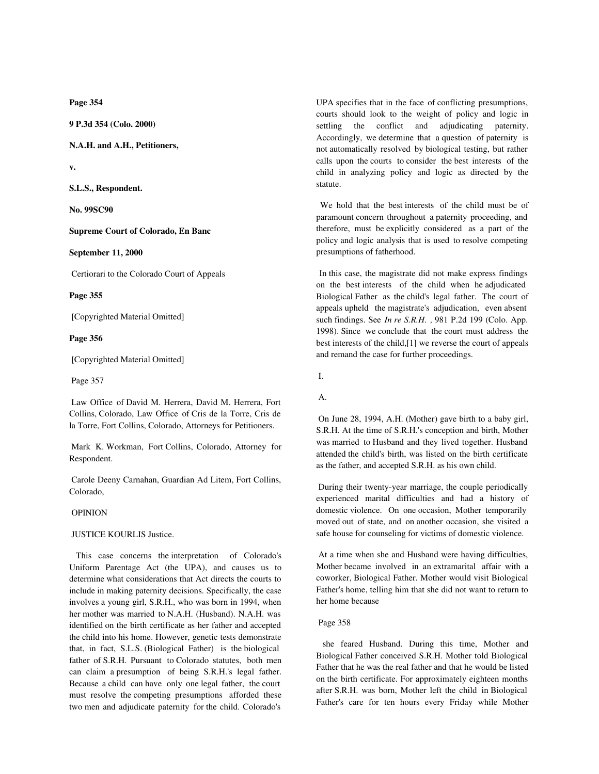**Page 354**

**9 P.3d 354 (Colo. 2000)**

**N.A.H. and A.H., Petitioners,**

**v.**

**S.L.S., Respondent.**

**No. 99SC90**

**Supreme Court of Colorado, En Banc**

**September 11, 2000**

Certiorari to the Colorado Court of Appeals

**Page 355**

[Copyrighted Material Omitted]

# **Page 356**

[Copyrighted Material Omitted]

Page 357

 Law Office of David M. Herrera, David M. Herrera, Fort Collins, Colorado, Law Office of Cris de la Torre, Cris de la Torre, Fort Collins, Colorado, Attorneys for Petitioners.

 Mark K. Workman, Fort Collins, Colorado, Attorney for Respondent.

 Carole Deeny Carnahan, Guardian Ad Litem, Fort Collins, Colorado,

#### OPINION

JUSTICE KOURLIS Justice.

 This case concerns the interpretation of Colorado's Uniform Parentage Act (the UPA), and causes us to determine what considerations that Act directs the courts to include in making paternity decisions. Specifically, the case involves a young girl, S.R.H., who was born in 1994, when her mother was married to N.A.H. (Husband). N.A.H. was identified on the birth certificate as her father and accepted the child into his home. However, genetic tests demonstrate that, in fact, S.L.S. (Biological Father) is the biological father of S.R.H. Pursuant to Colorado statutes, both men can claim a presumption of being S.R.H.'s legal father. Because a child can have only one legal father, the court must resolve the competing presumptions afforded these two men and adjudicate paternity for the child. Colorado's UPA specifies that in the face of conflicting presumptions, courts should look to the weight of policy and logic in settling the conflict and adjudicating paternity. Accordingly, we determine that a question of paternity is not automatically resolved by biological testing, but rather calls upon the courts to consider the best interests of the child in analyzing policy and logic as directed by the statute.

 We hold that the best interests of the child must be of paramount concern throughout a paternity proceeding, and therefore, must be explicitly considered as a part of the policy and logic analysis that is used to resolve competing presumptions of fatherhood.

 In this case, the magistrate did not make express findings on the best interests of the child when he adjudicated Biological Father as the child's legal father. The court of appeals upheld the magistrate's adjudication, even absent such findings. See *In re S.R.H. ,* 981 P.2d 199 (Colo. App. 1998). Since we conclude that the court must address the best interests of the child,[1] we reverse the court of appeals and remand the case for further proceedings.

I.

A.

 On June 28, 1994, A.H. (Mother) gave birth to a baby girl, S.R.H. At the time of S.R.H.'s conception and birth, Mother was married to Husband and they lived together. Husband attended the child's birth, was listed on the birth certificate as the father, and accepted S.R.H. as his own child.

 During their twenty-year marriage, the couple periodically experienced marital difficulties and had a history of domestic violence. On one occasion, Mother temporarily moved out of state, and on another occasion, she visited a safe house for counseling for victims of domestic violence.

 At a time when she and Husband were having difficulties, Mother became involved in an extramarital affair with a coworker, Biological Father. Mother would visit Biological Father's home, telling him that she did not want to return to her home because

# Page 358

 she feared Husband. During this time, Mother and Biological Father conceived S.R.H. Mother told Biological Father that he was the real father and that he would be listed on the birth certificate. For approximately eighteen months after S.R.H. was born, Mother left the child in Biological Father's care for ten hours every Friday while Mother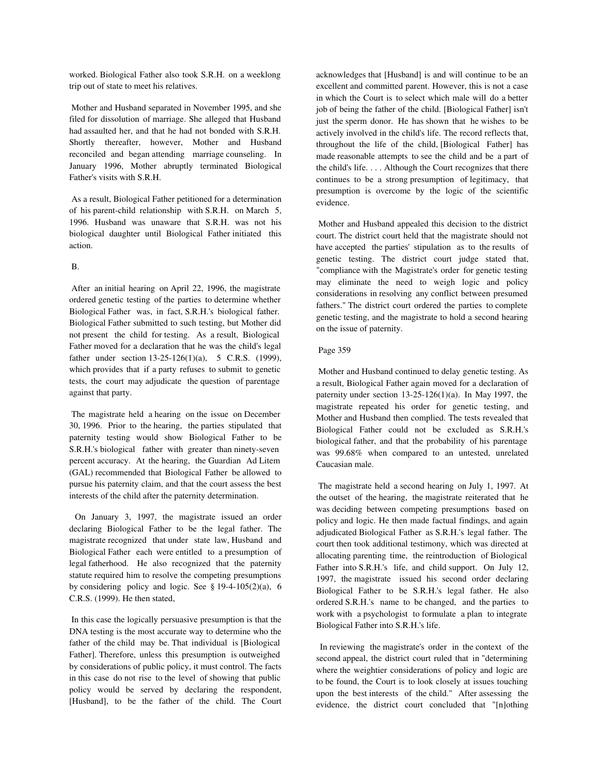worked. Biological Father also took S.R.H. on a weeklong trip out of state to meet his relatives.

 Mother and Husband separated in November 1995, and she filed for dissolution of marriage. She alleged that Husband had assaulted her, and that he had not bonded with S.R.H. Shortly thereafter, however, Mother and Husband reconciled and began attending marriage counseling. In January 1996, Mother abruptly terminated Biological Father's visits with S.R.H.

 As a result, Biological Father petitioned for a determination of his parent-child relationship with S.R.H. on March 5, 1996. Husband was unaware that S.R.H. was not his biological daughter until Biological Father initiated this action.

# B.

 After an initial hearing on April 22, 1996, the magistrate ordered genetic testing of the parties to determine whether Biological Father was, in fact, S.R.H.'s biological father. Biological Father submitted to such testing, but Mother did not present the child for testing. As a result, Biological Father moved for a declaration that he was the child's legal father under section 13-25-126(1)(a), 5 C.R.S. (1999), which provides that if a party refuses to submit to genetic tests, the court may adjudicate the question of parentage against that party.

 The magistrate held a hearing on the issue on December 30, 1996. Prior to the hearing, the parties stipulated that paternity testing would show Biological Father to be S.R.H.'s biological father with greater than ninety-seven percent accuracy. At the hearing, the Guardian Ad Litem (GAL) recommended that Biological Father be allowed to pursue his paternity claim, and that the court assess the best interests of the child after the paternity determination.

 On January 3, 1997, the magistrate issued an order declaring Biological Father to be the legal father. The magistrate recognized that under state law, Husband and Biological Father each were entitled to a presumption of legal fatherhood. He also recognized that the paternity statute required him to resolve the competing presumptions by considering policy and logic. See § 19-4-105(2)(a), 6 C.R.S. (1999). He then stated,

 In this case the logically persuasive presumption is that the DNA testing is the most accurate way to determine who the father of the child may be. That individual is [Biological Father]. Therefore, unless this presumption is outweighed by considerations of public policy, it must control. The facts in this case do not rise to the level of showing that public policy would be served by declaring the respondent, [Husband], to be the father of the child. The Court acknowledges that [Husband] is and will continue to be an excellent and committed parent. However, this is not a case in which the Court is to select which male will do a better job of being the father of the child. [Biological Father] isn't just the sperm donor. He has shown that he wishes to be actively involved in the child's life. The record reflects that, throughout the life of the child, [Biological Father] has made reasonable attempts to see the child and be a part of the child's life. . . . Although the Court recognizes that there continues to be a strong presumption of legitimacy, that presumption is overcome by the logic of the scientific evidence.

 Mother and Husband appealed this decision to the district court. The district court held that the magistrate should not have accepted the parties' stipulation as to the results of genetic testing. The district court judge stated that, "compliance with the Magistrate's order for genetic testing may eliminate the need to weigh logic and policy considerations in resolving any conflict between presumed fathers." The district court ordered the parties to complete genetic testing, and the magistrate to hold a second hearing on the issue of paternity.

# Page 359

 Mother and Husband continued to delay genetic testing. As a result, Biological Father again moved for a declaration of paternity under section  $13-25-126(1)(a)$ . In May 1997, the magistrate repeated his order for genetic testing, and Mother and Husband then complied. The tests revealed that Biological Father could not be excluded as S.R.H.'s biological father, and that the probability of his parentage was 99.68% when compared to an untested, unrelated Caucasian male.

 The magistrate held a second hearing on July 1, 1997. At the outset of the hearing, the magistrate reiterated that he was deciding between competing presumptions based on policy and logic. He then made factual findings, and again adjudicated Biological Father as S.R.H.'s legal father. The court then took additional testimony, which was directed at allocating parenting time, the reintroduction of Biological Father into S.R.H.'s life, and child support. On July 12, 1997, the magistrate issued his second order declaring Biological Father to be S.R.H.'s legal father. He also ordered S.R.H.'s name to be changed, and the parties to work with a psychologist to formulate a plan to integrate Biological Father into S.R.H.'s life.

 In reviewing the magistrate's order in the context of the second appeal, the district court ruled that in "determining where the weightier considerations of policy and logic are to be found, the Court is to look closely at issues touching upon the best interests of the child." After assessing the evidence, the district court concluded that "[n]othing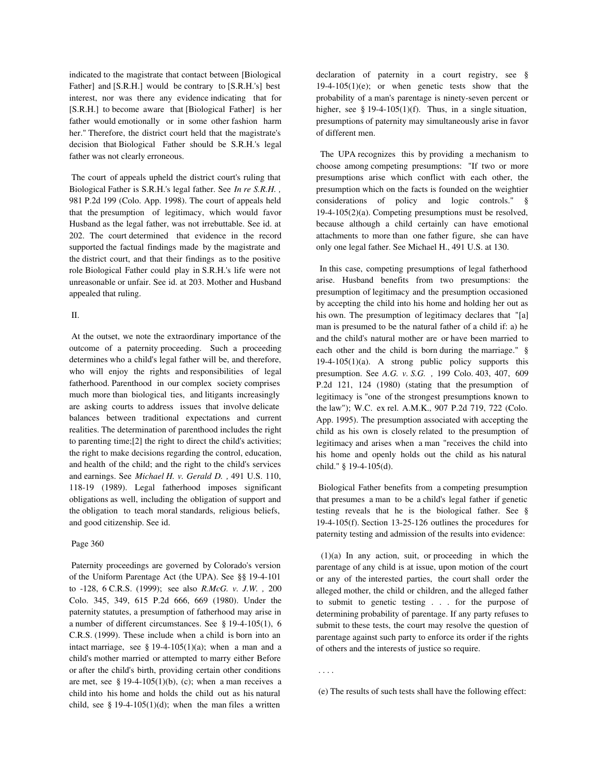indicated to the magistrate that contact between [Biological Father] and [S.R.H.] would be contrary to [S.R.H.'s] best interest, nor was there any evidence indicating that for [S.R.H.] to become aware that [Biological Father] is her father would emotionally or in some other fashion harm her." Therefore, the district court held that the magistrate's decision that Biological Father should be S.R.H.'s legal father was not clearly erroneous.

 The court of appeals upheld the district court's ruling that Biological Father is S.R.H.'s legal father. See *In re S.R.H. ,* 981 P.2d 199 (Colo. App. 1998). The court of appeals held that the presumption of legitimacy, which would favor Husband as the legal father, was not irrebuttable. See id. at 202. The court determined that evidence in the record supported the factual findings made by the magistrate and the district court, and that their findings as to the positive role Biological Father could play in S.R.H.'s life were not unreasonable or unfair. See id. at 203. Mother and Husband appealed that ruling.

### II.

 At the outset, we note the extraordinary importance of the outcome of a paternity proceeding. Such a proceeding determines who a child's legal father will be, and therefore, who will enjoy the rights and responsibilities of legal fatherhood. Parenthood in our complex society comprises much more than biological ties, and litigants increasingly are asking courts to address issues that involve delicate balances between traditional expectations and current realities. The determination of parenthood includes the right to parenting time;[2] the right to direct the child's activities; the right to make decisions regarding the control, education, and health of the child; and the right to the child's services and earnings. See *Michael H. v. Gerald D. ,* 491 U.S. 110, 118-19 (1989). Legal fatherhood imposes significant obligations as well, including the obligation of support and the obligation to teach moral standards, religious beliefs, and good citizenship. See id.

### Page 360

 Paternity proceedings are governed by Colorado's version of the Uniform Parentage Act (the UPA). See §§ 19-4-101 to -128, 6 C.R.S. (1999); see also *R.McG. v. J.W. ,* 200 Colo. 345, 349, 615 P.2d 666, 669 (1980). Under the paternity statutes, a presumption of fatherhood may arise in a number of different circumstances. See § 19-4-105(1), 6 C.R.S. (1999). These include when a child is born into an intact marriage, see § 19-4-105(1)(a); when a man and a child's mother married or attempted to marry either Before or after the child's birth, providing certain other conditions are met, see § 19-4-105(1)(b), (c); when a man receives a child into his home and holds the child out as his natural child, see § 19-4-105(1)(d); when the man files a written

declaration of paternity in a court registry, see § 19-4-105(1)(e); or when genetic tests show that the probability of a man's parentage is ninety-seven percent or higher, see § 19-4-105(1)(f). Thus, in a single situation, presumptions of paternity may simultaneously arise in favor of different men.

 The UPA recognizes this by providing a mechanism to choose among competing presumptions: "If two or more presumptions arise which conflict with each other, the presumption which on the facts is founded on the weightier considerations of policy and logic controls." § 19-4-105(2)(a). Competing presumptions must be resolved, because although a child certainly can have emotional attachments to more than one father figure, she can have only one legal father. See Michael H., 491 U.S. at 130.

 In this case, competing presumptions of legal fatherhood arise. Husband benefits from two presumptions: the presumption of legitimacy and the presumption occasioned by accepting the child into his home and holding her out as his own. The presumption of legitimacy declares that "[a] man is presumed to be the natural father of a child if: a) he and the child's natural mother are or have been married to each other and the child is born during the marriage." §  $19-4-105(1)(a)$ . A strong public policy supports this presumption. See *A.G. v. S.G. ,* 199 Colo. 403, 407, 609 P.2d 121, 124 (1980) (stating that the presumption of legitimacy is "one of the strongest presumptions known to the law"); W.C. ex rel. A.M.K., 907 P.2d 719, 722 (Colo. App. 1995). The presumption associated with accepting the child as his own is closely related to the presumption of legitimacy and arises when a man "receives the child into his home and openly holds out the child as his natural child." § 19-4-105(d).

 Biological Father benefits from a competing presumption that presumes a man to be a child's legal father if genetic testing reveals that he is the biological father. See § 19-4-105(f). Section 13-25-126 outlines the procedures for paternity testing and admission of the results into evidence:

 (1)(a) In any action, suit, or proceeding in which the parentage of any child is at issue, upon motion of the court or any of the interested parties, the court shall order the alleged mother, the child or children, and the alleged father to submit to genetic testing . . . for the purpose of determining probability of parentage. If any party refuses to submit to these tests, the court may resolve the question of parentage against such party to enforce its order if the rights of others and the interests of justice so require.

(e) The results of such tests shall have the following effect:

 <sup>. . . .</sup>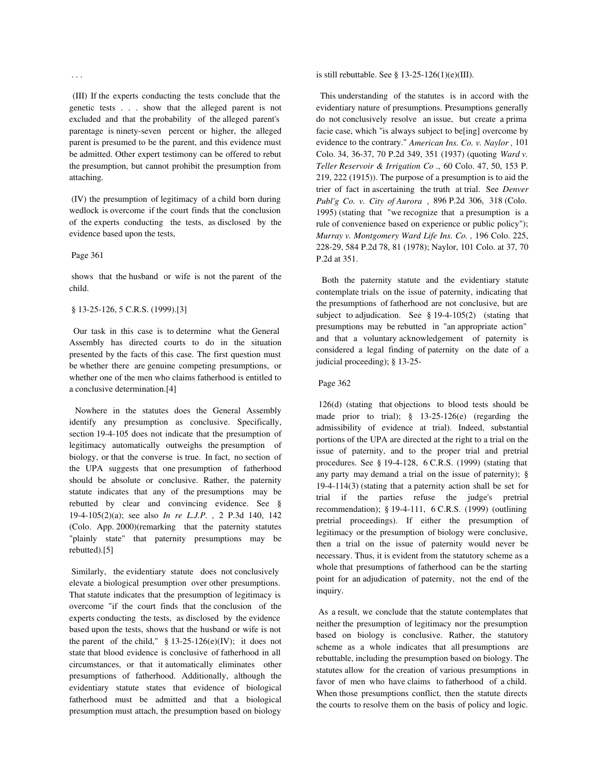(III) If the experts conducting the tests conclude that the genetic tests . . . show that the alleged parent is not excluded and that the probability of the alleged parent's parentage is ninety-seven percent or higher, the alleged parent is presumed to be the parent, and this evidence must be admitted. Other expert testimony can be offered to rebut the presumption, but cannot prohibit the presumption from attaching.

 (IV) the presumption of legitimacy of a child born during wedlock is overcome if the court finds that the conclusion of the experts conducting the tests, as disclosed by the evidence based upon the tests,

#### Page 361

 shows that the husband or wife is not the parent of the child.

#### § 13-25-126, 5 C.R.S. (1999).[3]

 Our task in this case is to determine what the General Assembly has directed courts to do in the situation presented by the facts of this case. The first question must be whether there are genuine competing presumptions, or whether one of the men who claims fatherhood is entitled to a conclusive determination.[4]

 Nowhere in the statutes does the General Assembly identify any presumption as conclusive. Specifically, section 19-4-105 does not indicate that the presumption of legitimacy automatically outweighs the presumption of biology, or that the converse is true. In fact, no section of the UPA suggests that one presumption of fatherhood should be absolute or conclusive. Rather, the paternity statute indicates that any of the presumptions may be rebutted by clear and convincing evidence. See § 19-4-105(2)(a); see also *In re L.J.P. ,* 2 P.3d 140, 142 (Colo. App. 2000)(remarking that the paternity statutes "plainly state" that paternity presumptions may be rebutted).[5]

 Similarly, the evidentiary statute does not conclusively elevate a biological presumption over other presumptions. That statute indicates that the presumption of legitimacy is overcome "if the court finds that the conclusion of the experts conducting the tests, as disclosed by the evidence based upon the tests, shows that the husband or wife is not the parent of the child,"  $§$  13-25-126(e)(IV); it does not state that blood evidence is conclusive of fatherhood in all circumstances, or that it automatically eliminates other presumptions of fatherhood. Additionally, although the evidentiary statute states that evidence of biological fatherhood must be admitted and that a biological presumption must attach, the presumption based on biology

is still rebuttable. See §  $13-25-126(1)(e)(III)$ .

 This understanding of the statutes is in accord with the evidentiary nature of presumptions. Presumptions generally do not conclusively resolve an issue, but create a prima facie case, which "is always subject to be[ing] overcome by evidence to the contrary." *American Ins. Co. v. Naylor ,* 101 Colo. 34, 36-37, 70 P.2d 349, 351 (1937) (quoting *Ward v. Teller Reservoir & Irrigation Co .,* 60 Colo. 47, 50, 153 P. 219, 222 (1915)). The purpose of a presumption is to aid the trier of fact in ascertaining the truth at trial. See *Denver Publ'g Co. v. City of Aurora ,* 896 P.2d 306, 318 (Colo. 1995) (stating that "we recognize that a presumption is a rule of convenience based on experience or public policy"); *Murray v. Montgomery Ward Life Ins. Co. ,* 196 Colo. 225, 228-29, 584 P.2d 78, 81 (1978); Naylor, 101 Colo. at 37, 70 P.2d at 351.

 Both the paternity statute and the evidentiary statute contemplate trials on the issue of paternity, indicating that the presumptions of fatherhood are not conclusive, but are subject to adjudication. See § 19-4-105(2) (stating that presumptions may be rebutted in "an appropriate action" and that a voluntary acknowledgement of paternity is considered a legal finding of paternity on the date of a judicial proceeding); § 13-25-

#### Page 362

 126(d) (stating that objections to blood tests should be made prior to trial); § 13-25-126(e) (regarding the admissibility of evidence at trial). Indeed, substantial portions of the UPA are directed at the right to a trial on the issue of paternity, and to the proper trial and pretrial procedures. See § 19-4-128, 6 C.R.S. (1999) (stating that any party may demand a trial on the issue of paternity); § 19-4-114(3) (stating that a paternity action shall be set for trial if the parties refuse the judge's pretrial recommendation); § 19-4-111, 6 C.R.S. (1999) (outlining pretrial proceedings). If either the presumption of legitimacy or the presumption of biology were conclusive, then a trial on the issue of paternity would never be necessary. Thus, it is evident from the statutory scheme as a whole that presumptions of fatherhood can be the starting point for an adjudication of paternity, not the end of the inquiry.

 As a result, we conclude that the statute contemplates that neither the presumption of legitimacy nor the presumption based on biology is conclusive. Rather, the statutory scheme as a whole indicates that all presumptions are rebuttable, including the presumption based on biology. The statutes allow for the creation of various presumptions in favor of men who have claims to fatherhood of a child. When those presumptions conflict, then the statute directs the courts to resolve them on the basis of policy and logic.

#### . . .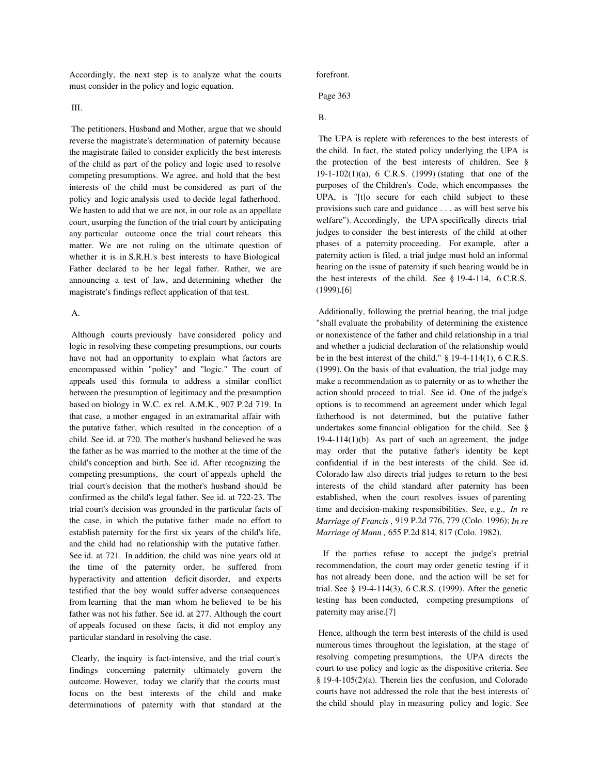Accordingly, the next step is to analyze what the courts must consider in the policy and logic equation.

### III.

 The petitioners, Husband and Mother, argue that we should reverse the magistrate's determination of paternity because the magistrate failed to consider explicitly the best interests of the child as part of the policy and logic used to resolve competing presumptions. We agree, and hold that the best interests of the child must be considered as part of the policy and logic analysis used to decide legal fatherhood. We hasten to add that we are not, in our role as an appellate court, usurping the function of the trial court by anticipating any particular outcome once the trial court rehears this matter. We are not ruling on the ultimate question of whether it is in S.R.H.'s best interests to have Biological Father declared to be her legal father. Rather, we are announcing a test of law, and determining whether the magistrate's findings reflect application of that test.

# A.

 Although courts previously have considered policy and logic in resolving these competing presumptions, our courts have not had an opportunity to explain what factors are encompassed within "policy" and "logic." The court of appeals used this formula to address a similar conflict between the presumption of legitimacy and the presumption based on biology in W.C. ex rel. A.M.K., 907 P.2d 719. In that case, a mother engaged in an extramarital affair with the putative father, which resulted in the conception of a child. See id. at 720. The mother's husband believed he was the father as he was married to the mother at the time of the child's conception and birth. See id. After recognizing the competing presumptions, the court of appeals upheld the trial court's decision that the mother's husband should be confirmed as the child's legal father. See id. at 722-23. The trial court's decision was grounded in the particular facts of the case, in which the putative father made no effort to establish paternity for the first six years of the child's life, and the child had no relationship with the putative father. See id. at 721. In addition, the child was nine years old at the time of the paternity order, he suffered from hyperactivity and attention deficit disorder, and experts testified that the boy would suffer adverse consequences from learning that the man whom he believed to be his father was not his father. See id. at 277. Although the court of appeals focused on these facts, it did not employ any particular standard in resolving the case.

 Clearly, the inquiry is fact-intensive, and the trial court's findings concerning paternity ultimately govern the outcome. However, today we clarify that the courts must focus on the best interests of the child and make determinations of paternity with that standard at the

forefront.

# Page 363

### B.

 The UPA is replete with references to the best interests of the child. In fact, the stated policy underlying the UPA is the protection of the best interests of children. See § 19-1-102(1)(a), 6 C.R.S. (1999) (stating that one of the purposes of the Children's Code, which encompasses the UPA, is "[t]o secure for each child subject to these provisions such care and guidance . . . as will best serve his welfare"). Accordingly, the UPA specifically directs trial judges to consider the best interests of the child at other phases of a paternity proceeding. For example, after a paternity action is filed, a trial judge must hold an informal hearing on the issue of paternity if such hearing would be in the best interests of the child. See § 19-4-114, 6 C.R.S. (1999).[6]

 Additionally, following the pretrial hearing, the trial judge "shall evaluate the probability of determining the existence or nonexistence of the father and child relationship in a trial and whether a judicial declaration of the relationship would be in the best interest of the child." § 19-4-114(1), 6 C.R.S. (1999). On the basis of that evaluation, the trial judge may make a recommendation as to paternity or as to whether the action should proceed to trial. See id. One of the judge's options is to recommend an agreement under which legal fatherhood is not determined, but the putative father undertakes some financial obligation for the child. See §  $19-4-114(1)(b)$ . As part of such an agreement, the judge may order that the putative father's identity be kept confidential if in the best interests of the child. See id. Colorado law also directs trial judges to return to the best interests of the child standard after paternity has been established, when the court resolves issues of parenting time and decision-making responsibilities. See, e.g., *In re Marriage of Francis ,* 919 P.2d 776, 779 (Colo. 1996); *In re Marriage of Mann ,* 655 P.2d 814, 817 (Colo. 1982).

 If the parties refuse to accept the judge's pretrial recommendation, the court may order genetic testing if it has not already been done, and the action will be set for trial. See § 19-4-114(3), 6 C.R.S. (1999). After the genetic testing has been conducted, competing presumptions of paternity may arise.[7]

 Hence, although the term best interests of the child is used numerous times throughout the legislation, at the stage of resolving competing presumptions, the UPA directs the court to use policy and logic as the dispositive criteria. See § 19-4-105(2)(a). Therein lies the confusion, and Colorado courts have not addressed the role that the best interests of the child should play in measuring policy and logic. See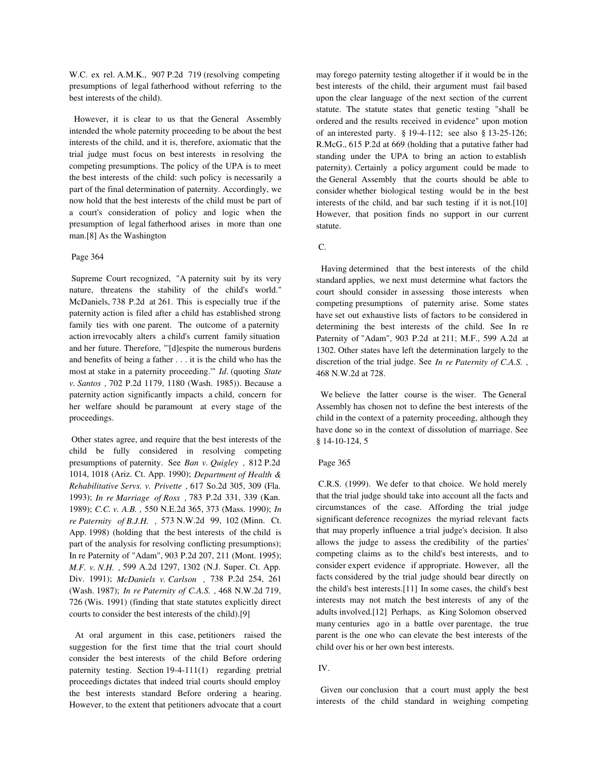W.C. ex rel. A.M.K., 907 P.2d 719 (resolving competing presumptions of legal fatherhood without referring to the best interests of the child).

 However, it is clear to us that the General Assembly intended the whole paternity proceeding to be about the best interests of the child, and it is, therefore, axiomatic that the trial judge must focus on best interests in resolving the competing presumptions. The policy of the UPA is to meet the best interests of the child: such policy is necessarily a part of the final determination of paternity. Accordingly, we now hold that the best interests of the child must be part of a court's consideration of policy and logic when the presumption of legal fatherhood arises in more than one man.[8] As the Washington

### Page 364

 Supreme Court recognized, "A paternity suit by its very nature, threatens the stability of the child's world." McDaniels, 738 P.2d at 261. This is especially true if the paternity action is filed after a child has established strong family ties with one parent. The outcome of a paternity action irrevocably alters a child's current family situation and her future. Therefore, "'[d]espite the numerous burdens and benefits of being a father . . . it is the child who has the most at stake in a paternity proceeding.'" *Id*. (quoting *State v. Santos ,* 702 P.2d 1179, 1180 (Wash. 1985)). Because a paternity action significantly impacts a child, concern for her welfare should be paramount at every stage of the proceedings.

 Other states agree, and require that the best interests of the child be fully considered in resolving competing presumptions of paternity. See *Ban v. Quigley ,* 812 P.2d 1014, 1018 (Ariz. Ct. App. 1990); *Department of Health & Rehabilitative Servs. v. Privette ,* 617 So.2d 305, 309 (Fla. 1993); *In re Marriage of Ross ,* 783 P.2d 331, 339 (Kan. 1989); *C.C. v. A.B. ,* 550 N.E.2d 365, 373 (Mass. 1990); *In re Paternity of B.J.H. ,* 573 N.W.2d 99, 102 (Minn. Ct. App. 1998) (holding that the best interests of the child is part of the analysis for resolving conflicting presumptions); In re Paternity of "Adam", 903 P.2d 207, 211 (Mont. 1995); *M.F. v. N.H. ,* 599 A.2d 1297, 1302 (N.J. Super. Ct. App. Div. 1991); *McDaniels v. Carlson ,* 738 P.2d 254, 261 (Wash. 1987); *In re Paternity of C.A.S. ,* 468 N.W.2d 719, 726 (Wis. 1991) (finding that state statutes explicitly direct courts to consider the best interests of the child).[9]

 At oral argument in this case, petitioners raised the suggestion for the first time that the trial court should consider the best interests of the child Before ordering paternity testing. Section 19-4-111(1) regarding pretrial proceedings dictates that indeed trial courts should employ the best interests standard Before ordering a hearing. However, to the extent that petitioners advocate that a court

may forego paternity testing altogether if it would be in the best interests of the child, their argument must fail based upon the clear language of the next section of the current statute. The statute states that genetic testing "shall be ordered and the results received in evidence" upon motion of an interested party. § 19-4-112; see also § 13-25-126; R.McG., 615 P.2d at 669 (holding that a putative father had standing under the UPA to bring an action to establish paternity). Certainly a policy argument could be made to the General Assembly that the courts should be able to consider whether biological testing would be in the best interests of the child, and bar such testing if it is not.[10] However, that position finds no support in our current statute.

# C.

 Having determined that the best interests of the child standard applies, we next must determine what factors the court should consider in assessing those interests when competing presumptions of paternity arise. Some states have set out exhaustive lists of factors to be considered in determining the best interests of the child. See In re Paternity of "Adam", 903 P.2d at 211; M.F., 599 A.2d at 1302. Other states have left the determination largely to the discretion of the trial judge. See *In re Paternity of C.A.S. ,* 468 N.W.2d at 728.

We believe the latter course is the wiser. The General Assembly has chosen not to define the best interests of the child in the context of a paternity proceeding, although they have done so in the context of dissolution of marriage. See § 14-10-124, 5

### Page 365

 C.R.S. (1999). We defer to that choice. We hold merely that the trial judge should take into account all the facts and circumstances of the case. Affording the trial judge significant deference recognizes the myriad relevant facts that may properly influence a trial judge's decision. It also allows the judge to assess the credibility of the parties' competing claims as to the child's best interests, and to consider expert evidence if appropriate. However, all the facts considered by the trial judge should bear directly on the child's best interests.[11] In some cases, the child's best interests may not match the best interests of any of the adults involved.[12] Perhaps, as King Solomon observed many centuries ago in a battle over parentage, the true parent is the one who can elevate the best interests of the child over his or her own best interests.

# IV.

 Given our conclusion that a court must apply the best interests of the child standard in weighing competing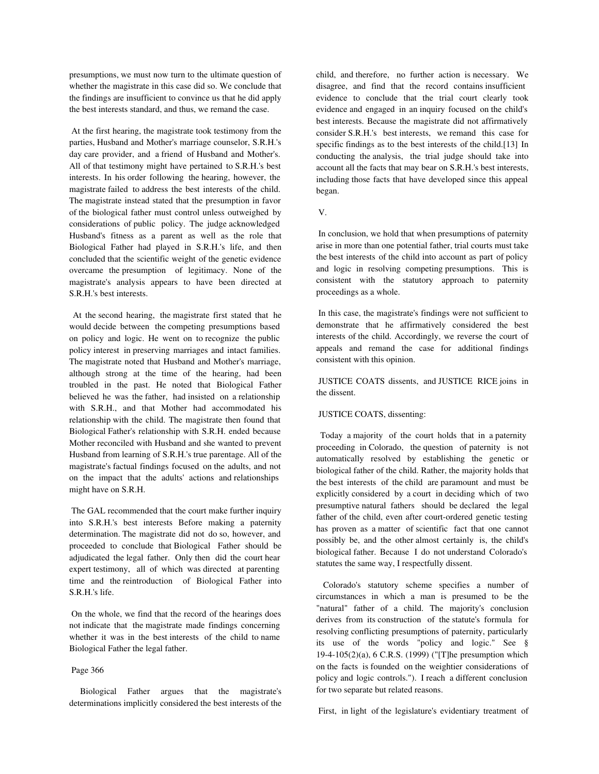presumptions, we must now turn to the ultimate question of whether the magistrate in this case did so. We conclude that the findings are insufficient to convince us that he did apply the best interests standard, and thus, we remand the case.

 At the first hearing, the magistrate took testimony from the parties, Husband and Mother's marriage counselor, S.R.H.'s day care provider, and a friend of Husband and Mother's. All of that testimony might have pertained to S.R.H.'s best interests. In his order following the hearing, however, the magistrate failed to address the best interests of the child. The magistrate instead stated that the presumption in favor of the biological father must control unless outweighed by considerations of public policy. The judge acknowledged Husband's fitness as a parent as well as the role that Biological Father had played in S.R.H.'s life, and then concluded that the scientific weight of the genetic evidence overcame the presumption of legitimacy. None of the magistrate's analysis appears to have been directed at S.R.H.'s best interests.

 At the second hearing, the magistrate first stated that he would decide between the competing presumptions based on policy and logic. He went on to recognize the public policy interest in preserving marriages and intact families. The magistrate noted that Husband and Mother's marriage, although strong at the time of the hearing, had been troubled in the past. He noted that Biological Father believed he was the father, had insisted on a relationship with S.R.H., and that Mother had accommodated his relationship with the child. The magistrate then found that Biological Father's relationship with S.R.H. ended because Mother reconciled with Husband and she wanted to prevent Husband from learning of S.R.H.'s true parentage. All of the magistrate's factual findings focused on the adults, and not on the impact that the adults' actions and relationships might have on S.R.H.

 The GAL recommended that the court make further inquiry into S.R.H.'s best interests Before making a paternity determination. The magistrate did not do so, however, and proceeded to conclude that Biological Father should be adjudicated the legal father. Only then did the court hear expert testimony, all of which was directed at parenting time and the reintroduction of Biological Father into S.R.H.'s life.

 On the whole, we find that the record of the hearings does not indicate that the magistrate made findings concerning whether it was in the best interests of the child to name Biological Father the legal father.

### Page 366

 Biological Father argues that the magistrate's determinations implicitly considered the best interests of the child, and therefore, no further action is necessary. We disagree, and find that the record contains insufficient evidence to conclude that the trial court clearly took evidence and engaged in an inquiry focused on the child's best interests. Because the magistrate did not affirmatively consider S.R.H.'s best interests, we remand this case for specific findings as to the best interests of the child.[13] In conducting the analysis, the trial judge should take into account all the facts that may bear on S.R.H.'s best interests, including those facts that have developed since this appeal began.

### V.

 In conclusion, we hold that when presumptions of paternity arise in more than one potential father, trial courts must take the best interests of the child into account as part of policy and logic in resolving competing presumptions. This is consistent with the statutory approach to paternity proceedings as a whole.

 In this case, the magistrate's findings were not sufficient to demonstrate that he affirmatively considered the best interests of the child. Accordingly, we reverse the court of appeals and remand the case for additional findings consistent with this opinion.

 JUSTICE COATS dissents, and JUSTICE RICE joins in the dissent.

# JUSTICE COATS, dissenting:

 Today a majority of the court holds that in a paternity proceeding in Colorado, the question of paternity is not automatically resolved by establishing the genetic or biological father of the child. Rather, the majority holds that the best interests of the child are paramount and must be explicitly considered by a court in deciding which of two presumptive natural fathers should be declared the legal father of the child, even after court-ordered genetic testing has proven as a matter of scientific fact that one cannot possibly be, and the other almost certainly is, the child's biological father. Because I do not understand Colorado's statutes the same way, I respectfully dissent.

 Colorado's statutory scheme specifies a number of circumstances in which a man is presumed to be the "natural" father of a child. The majority's conclusion derives from its construction of the statute's formula for resolving conflicting presumptions of paternity, particularly its use of the words "policy and logic." See § 19-4-105(2)(a), 6 C.R.S. (1999) ("[T]he presumption which on the facts is founded on the weightier considerations of policy and logic controls."). I reach a different conclusion for two separate but related reasons.

First, in light of the legislature's evidentiary treatment of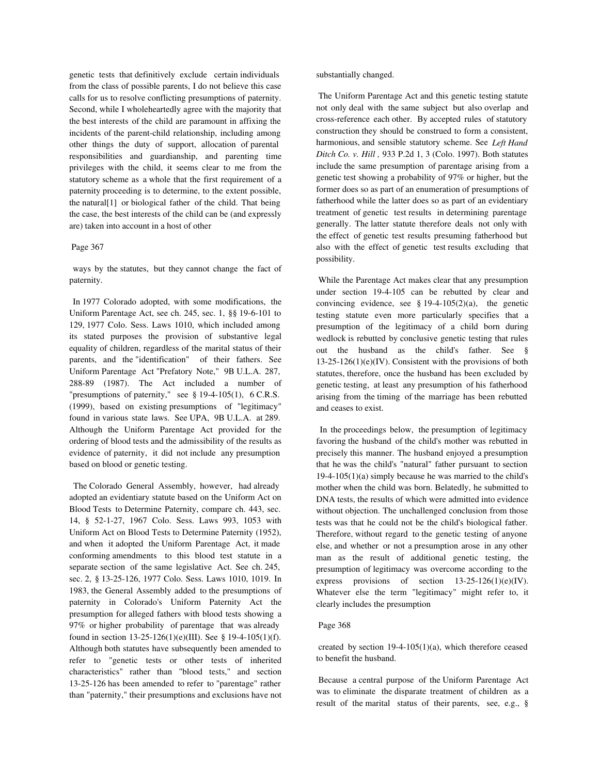genetic tests that definitively exclude certain individuals from the class of possible parents, I do not believe this case calls for us to resolve conflicting presumptions of paternity. Second, while I wholeheartedly agree with the majority that the best interests of the child are paramount in affixing the incidents of the parent-child relationship, including among other things the duty of support, allocation of parental responsibilities and guardianship, and parenting time privileges with the child, it seems clear to me from the statutory scheme as a whole that the first requirement of a paternity proceeding is to determine, to the extent possible, the natural[1] or biological father of the child. That being the case, the best interests of the child can be (and expressly are) taken into account in a host of other

### Page 367

 ways by the statutes, but they cannot change the fact of paternity.

 In 1977 Colorado adopted, with some modifications, the Uniform Parentage Act, see ch. 245, sec. 1, §§ 19-6-101 to 129, 1977 Colo. Sess. Laws 1010, which included among its stated purposes the provision of substantive legal equality of children, regardless of the marital status of their parents, and the "identification" of their fathers. See Uniform Parentage Act "Prefatory Note," 9B U.L.A. 287, 288-89 (1987). The Act included a number of "presumptions of paternity," see § 19-4-105(1), 6 C.R.S. (1999), based on existing presumptions of "legitimacy" found in various state laws. See UPA, 9B U.L.A. at 289. Although the Uniform Parentage Act provided for the ordering of blood tests and the admissibility of the results as evidence of paternity, it did not include any presumption based on blood or genetic testing.

 The Colorado General Assembly, however, had already adopted an evidentiary statute based on the Uniform Act on Blood Tests to Determine Paternity, compare ch. 443, sec. 14, § 52-1-27, 1967 Colo. Sess. Laws 993, 1053 with Uniform Act on Blood Tests to Determine Paternity (1952), and when it adopted the Uniform Parentage Act, it made conforming amendments to this blood test statute in a separate section of the same legislative Act. See ch. 245, sec. 2, § 13-25-126, 1977 Colo. Sess. Laws 1010, 1019. In 1983, the General Assembly added to the presumptions of paternity in Colorado's Uniform Paternity Act the presumption for alleged fathers with blood tests showing a 97% or higher probability of parentage that was already found in section 13-25-126(1)(e)(III). See § 19-4-105(1)(f). Although both statutes have subsequently been amended to refer to "genetic tests or other tests of inherited characteristics" rather than "blood tests," and section 13-25-126 has been amended to refer to "parentage" rather than "paternity," their presumptions and exclusions have not substantially changed.

 The Uniform Parentage Act and this genetic testing statute not only deal with the same subject but also overlap and cross-reference each other. By accepted rules of statutory construction they should be construed to form a consistent, harmonious, and sensible statutory scheme. See *Left Hand Ditch Co. v. Hill ,* 933 P.2d 1, 3 (Colo. 1997). Both statutes include the same presumption of parentage arising from a genetic test showing a probability of 97% or higher, but the former does so as part of an enumeration of presumptions of fatherhood while the latter does so as part of an evidentiary treatment of genetic test results in determining parentage generally. The latter statute therefore deals not only with the effect of genetic test results presuming fatherhood but also with the effect of genetic test results excluding that possibility.

 While the Parentage Act makes clear that any presumption under section 19-4-105 can be rebutted by clear and convincing evidence, see § 19-4-105(2)(a), the genetic testing statute even more particularly specifies that a presumption of the legitimacy of a child born during wedlock is rebutted by conclusive genetic testing that rules out the husband as the child's father. See §  $13-25-126(1)(e)(IV)$ . Consistent with the provisions of both statutes, therefore, once the husband has been excluded by genetic testing, at least any presumption of his fatherhood arising from the timing of the marriage has been rebutted and ceases to exist.

 In the proceedings below, the presumption of legitimacy favoring the husband of the child's mother was rebutted in precisely this manner. The husband enjoyed a presumption that he was the child's "natural" father pursuant to section 19-4-105(1)(a) simply because he was married to the child's mother when the child was born. Belatedly, he submitted to DNA tests, the results of which were admitted into evidence without objection. The unchallenged conclusion from those tests was that he could not be the child's biological father. Therefore, without regard to the genetic testing of anyone else, and whether or not a presumption arose in any other man as the result of additional genetic testing, the presumption of legitimacy was overcome according to the express provisions of section  $13-25-126(1)(e)(IV)$ . Whatever else the term "legitimacy" might refer to, it clearly includes the presumption

#### Page 368

 created by section 19-4-105(1)(a), which therefore ceased to benefit the husband.

 Because a central purpose of the Uniform Parentage Act was to eliminate the disparate treatment of children as a result of the marital status of their parents, see, e.g., §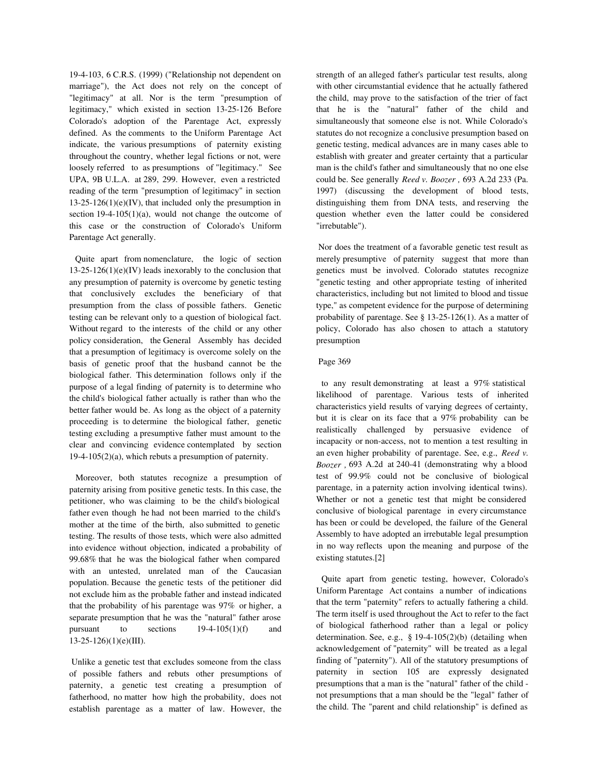19-4-103, 6 C.R.S. (1999) ("Relationship not dependent on marriage"), the Act does not rely on the concept of "legitimacy" at all. Nor is the term "presumption of legitimacy," which existed in section 13-25-126 Before Colorado's adoption of the Parentage Act, expressly defined. As the comments to the Uniform Parentage Act indicate, the various presumptions of paternity existing throughout the country, whether legal fictions or not, were loosely referred to as presumptions of "legitimacy." See UPA, 9B U.L.A. at 289, 299. However, even a restricted reading of the term "presumption of legitimacy" in section  $13-25-126(1)(e)(IV)$ , that included only the presumption in section  $19-4-105(1)(a)$ , would not change the outcome of this case or the construction of Colorado's Uniform Parentage Act generally.

 Quite apart from nomenclature, the logic of section  $13-25-126(1)(e)(IV)$  leads inexorably to the conclusion that any presumption of paternity is overcome by genetic testing that conclusively excludes the beneficiary of that presumption from the class of possible fathers. Genetic testing can be relevant only to a question of biological fact. Without regard to the interests of the child or any other policy consideration, the General Assembly has decided that a presumption of legitimacy is overcome solely on the basis of genetic proof that the husband cannot be the biological father. This determination follows only if the purpose of a legal finding of paternity is to determine who the child's biological father actually is rather than who the better father would be. As long as the object of a paternity proceeding is to determine the biological father, genetic testing excluding a presumptive father must amount to the clear and convincing evidence contemplated by section 19-4-105(2)(a), which rebuts a presumption of paternity.

 Moreover, both statutes recognize a presumption of paternity arising from positive genetic tests. In this case, the petitioner, who was claiming to be the child's biological father even though he had not been married to the child's mother at the time of the birth, also submitted to genetic testing. The results of those tests, which were also admitted into evidence without objection, indicated a probability of 99.68% that he was the biological father when compared with an untested, unrelated man of the Caucasian population. Because the genetic tests of the petitioner did not exclude him as the probable father and instead indicated that the probability of his parentage was 97% or higher, a separate presumption that he was the "natural" father arose pursuant to sections  $19-4-105(1)(f)$  and  $13-25-126$ ) $(1)(e)$ (III).

 Unlike a genetic test that excludes someone from the class of possible fathers and rebuts other presumptions of paternity, a genetic test creating a presumption of fatherhood, no matter how high the probability, does not establish parentage as a matter of law. However, the strength of an alleged father's particular test results, along with other circumstantial evidence that he actually fathered the child, may prove to the satisfaction of the trier of fact that he is the "natural" father of the child and simultaneously that someone else is not. While Colorado's statutes do not recognize a conclusive presumption based on genetic testing, medical advances are in many cases able to establish with greater and greater certainty that a particular man is the child's father and simultaneously that no one else could be. See generally *Reed v. Boozer ,* 693 A.2d 233 (Pa. 1997) (discussing the development of blood tests, distinguishing them from DNA tests, and reserving the question whether even the latter could be considered "irrebutable").

 Nor does the treatment of a favorable genetic test result as merely presumptive of paternity suggest that more than genetics must be involved. Colorado statutes recognize "genetic testing and other appropriate testing of inherited characteristics, including but not limited to blood and tissue type," as competent evidence for the purpose of determining probability of parentage. See § 13-25-126(1). As a matter of policy, Colorado has also chosen to attach a statutory presumption

# Page 369

 to any result demonstrating at least a 97% statistical likelihood of parentage. Various tests of inherited characteristics yield results of varying degrees of certainty, but it is clear on its face that a 97% probability can be realistically challenged by persuasive evidence of incapacity or non-access, not to mention a test resulting in an even higher probability of parentage. See, e.g., *Reed v. Boozer ,* 693 A.2d at 240-41 (demonstrating why a blood test of 99.9% could not be conclusive of biological parentage, in a paternity action involving identical twins). Whether or not a genetic test that might be considered conclusive of biological parentage in every circumstance has been or could be developed, the failure of the General Assembly to have adopted an irrebutable legal presumption in no way reflects upon the meaning and purpose of the existing statutes.[2]

 Quite apart from genetic testing, however, Colorado's Uniform Parentage Act contains a number of indications that the term "paternity" refers to actually fathering a child. The term itself is used throughout the Act to refer to the fact of biological fatherhood rather than a legal or policy determination. See, e.g., § 19-4-105(2)(b) (detailing when acknowledgement of "paternity" will be treated as a legal finding of "paternity"). All of the statutory presumptions of paternity in section 105 are expressly designated presumptions that a man is the "natural" father of the child not presumptions that a man should be the "legal" father of the child. The "parent and child relationship" is defined as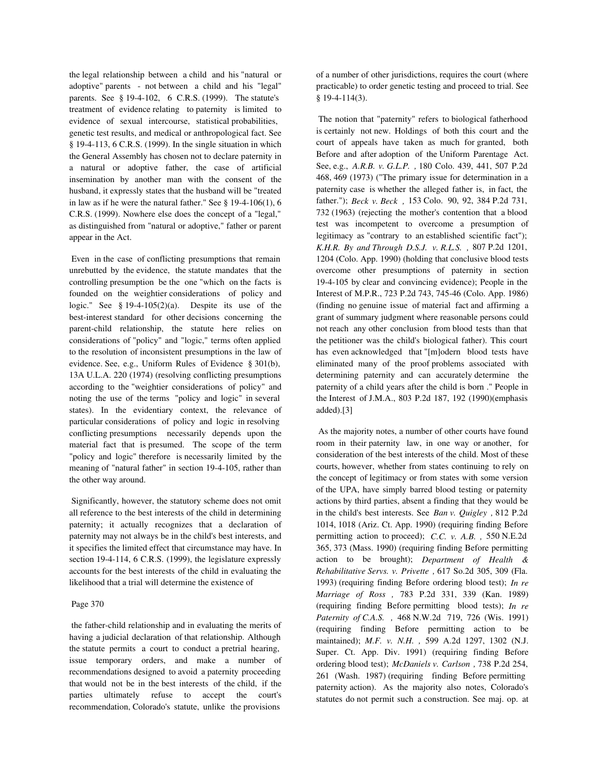the legal relationship between a child and his "natural or adoptive" parents - not between a child and his "legal" parents. See § 19-4-102, 6 C.R.S. (1999). The statute's treatment of evidence relating to paternity is limited to evidence of sexual intercourse, statistical probabilities, genetic test results, and medical or anthropological fact. See § 19-4-113, 6 C.R.S. (1999). In the single situation in which the General Assembly has chosen not to declare paternity in a natural or adoptive father, the case of artificial insemination by another man with the consent of the husband, it expressly states that the husband will be "treated in law as if he were the natural father." See  $\S$  19-4-106(1), 6 C.R.S. (1999). Nowhere else does the concept of a "legal," as distinguished from "natural or adoptive," father or parent appear in the Act.

 Even in the case of conflicting presumptions that remain unrebutted by the evidence, the statute mandates that the controlling presumption be the one "which on the facts is founded on the weightier considerations of policy and logic." See § 19-4-105(2)(a). Despite its use of the best-interest standard for other decisions concerning the parent-child relationship, the statute here relies on considerations of "policy" and "logic," terms often applied to the resolution of inconsistent presumptions in the law of evidence. See, e.g., Uniform Rules of Evidence § 301(b), 13A U.L.A. 220 (1974) (resolving conflicting presumptions according to the "weightier considerations of policy" and noting the use of the terms "policy and logic" in several states). In the evidentiary context, the relevance of particular considerations of policy and logic in resolving conflicting presumptions necessarily depends upon the material fact that is presumed. The scope of the term "policy and logic" therefore is necessarily limited by the meaning of "natural father" in section 19-4-105, rather than the other way around.

 Significantly, however, the statutory scheme does not omit all reference to the best interests of the child in determining paternity; it actually recognizes that a declaration of paternity may not always be in the child's best interests, and it specifies the limited effect that circumstance may have. In section 19-4-114, 6 C.R.S. (1999), the legislature expressly accounts for the best interests of the child in evaluating the likelihood that a trial will determine the existence of

### Page 370

 the father-child relationship and in evaluating the merits of having a judicial declaration of that relationship. Although the statute permits a court to conduct a pretrial hearing, issue temporary orders, and make a number of recommendations designed to avoid a paternity proceeding that would not be in the best interests of the child, if the parties ultimately refuse to accept the court's recommendation, Colorado's statute, unlike the provisions

of a number of other jurisdictions, requires the court (where practicable) to order genetic testing and proceed to trial. See § 19-4-114(3).

 The notion that "paternity" refers to biological fatherhood is certainly not new. Holdings of both this court and the court of appeals have taken as much for granted, both Before and after adoption of the Uniform Parentage Act. See, e.g., *A.R.B. v. G.L.P. ,* 180 Colo. 439, 441, 507 P.2d 468, 469 (1973) ("The primary issue for determination in a paternity case is whether the alleged father is, in fact, the father."); *Beck v. Beck ,* 153 Colo. 90, 92, 384 P.2d 731, 732 (1963) (rejecting the mother's contention that a blood test was incompetent to overcome a presumption of legitimacy as "contrary to an established scientific fact"); *K.H.R. By and Through D.S.J. v. R.L.S. ,* 807 P.2d 1201, 1204 (Colo. App. 1990) (holding that conclusive blood tests overcome other presumptions of paternity in section 19-4-105 by clear and convincing evidence); People in the Interest of M.P.R., 723 P.2d 743, 745-46 (Colo. App. 1986) (finding no genuine issue of material fact and affirming a grant of summary judgment where reasonable persons could not reach any other conclusion from blood tests than that the petitioner was the child's biological father). This court has even acknowledged that "[m]odern blood tests have eliminated many of the proof problems associated with determining paternity and can accurately determine the paternity of a child years after the child is born ." People in the Interest of J.M.A., 803 P.2d 187, 192 (1990)(emphasis added).[3]

 As the majority notes, a number of other courts have found room in their paternity law, in one way or another, for consideration of the best interests of the child. Most of these courts, however, whether from states continuing to rely on the concept of legitimacy or from states with some version of the UPA, have simply barred blood testing or paternity actions by third parties, absent a finding that they would be in the child's best interests. See *Ban v. Quigley ,* 812 P.2d 1014, 1018 (Ariz. Ct. App. 1990) (requiring finding Before permitting action to proceed); *C.C. v. A.B. ,* 550 N.E.2d 365, 373 (Mass. 1990) (requiring finding Before permitting action to be brought); *Department of Health & Rehabilitative Servs. v. Privette ,* 617 So.2d 305, 309 (Fla. 1993) (requiring finding Before ordering blood test); *In re Marriage of Ross ,* 783 P.2d 331, 339 (Kan. 1989) (requiring finding Before permitting blood tests); *In re Paternity of C.A.S. ,* 468 N.W.2d 719, 726 (Wis. 1991) (requiring finding Before permitting action to be maintained); *M.F. v. N.H. ,* 599 A.2d 1297, 1302 (N.J. Super. Ct. App. Div. 1991) (requiring finding Before ordering blood test); *McDaniels v. Carlson ,* 738 P.2d 254, 261 (Wash. 1987) (requiring finding Before permitting paternity action). As the majority also notes, Colorado's statutes do not permit such a construction. See maj. op. at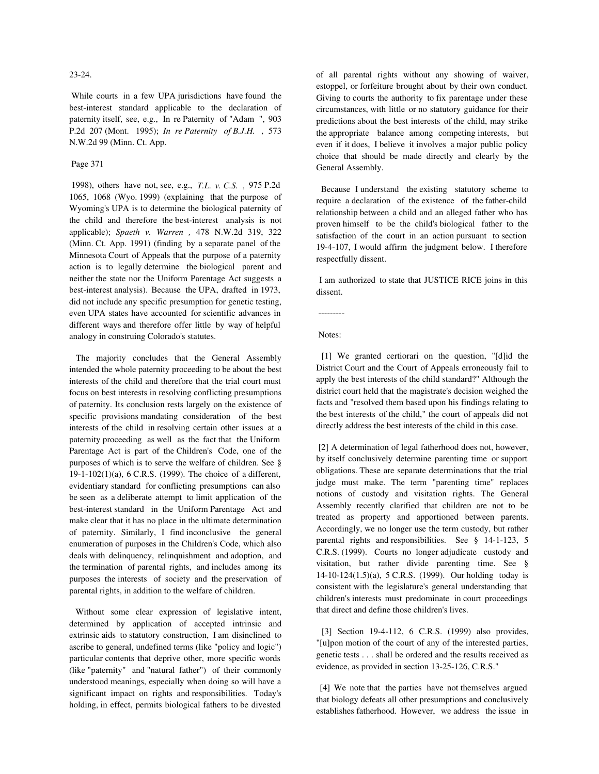# 23-24.

 While courts in a few UPA jurisdictions have found the best-interest standard applicable to the declaration of paternity itself, see, e.g., In re Paternity of "Adam ", 903 P.2d 207 (Mont. 1995); *In re Paternity of B.J.H. ,* 573 N.W.2d 99 (Minn. Ct. App.

#### Page 371

 1998), others have not, see, e.g., *T.L. v. C.S. ,* 975 P.2d 1065, 1068 (Wyo. 1999) (explaining that the purpose of Wyoming's UPA is to determine the biological paternity of the child and therefore the best-interest analysis is not applicable); *Spaeth v. Warren ,* 478 N.W.2d 319, 322 (Minn. Ct. App. 1991) (finding by a separate panel of the Minnesota Court of Appeals that the purpose of a paternity action is to legally determine the biological parent and neither the state nor the Uniform Parentage Act suggests a best-interest analysis). Because the UPA, drafted in 1973, did not include any specific presumption for genetic testing, even UPA states have accounted for scientific advances in different ways and therefore offer little by way of helpful analogy in construing Colorado's statutes.

 The majority concludes that the General Assembly intended the whole paternity proceeding to be about the best interests of the child and therefore that the trial court must focus on best interests in resolving conflicting presumptions of paternity. Its conclusion rests largely on the existence of specific provisions mandating consideration of the best interests of the child in resolving certain other issues at a paternity proceeding as well as the fact that the Uniform Parentage Act is part of the Children's Code, one of the purposes of which is to serve the welfare of children. See § 19-1-102(1)(a), 6 C.R.S. (1999). The choice of a different, evidentiary standard for conflicting presumptions can also be seen as a deliberate attempt to limit application of the best-interest standard in the Uniform Parentage Act and make clear that it has no place in the ultimate determination of paternity. Similarly, I find inconclusive the general enumeration of purposes in the Children's Code, which also deals with delinquency, relinquishment and adoption, and the termination of parental rights, and includes among its purposes the interests of society and the preservation of parental rights, in addition to the welfare of children.

 Without some clear expression of legislative intent, determined by application of accepted intrinsic and extrinsic aids to statutory construction, I am disinclined to ascribe to general, undefined terms (like "policy and logic") particular contents that deprive other, more specific words (like "paternity" and "natural father") of their commonly understood meanings, especially when doing so will have a significant impact on rights and responsibilities. Today's holding, in effect, permits biological fathers to be divested

of all parental rights without any showing of waiver, estoppel, or forfeiture brought about by their own conduct. Giving to courts the authority to fix parentage under these circumstances, with little or no statutory guidance for their predictions about the best interests of the child, may strike the appropriate balance among competing interests, but even if it does, I believe it involves a major public policy choice that should be made directly and clearly by the General Assembly.

 Because I understand the existing statutory scheme to require a declaration of the existence of the father-child relationship between a child and an alleged father who has proven himself to be the child's biological father to the satisfaction of the court in an action pursuant to section 19-4-107, I would affirm the judgment below. I therefore respectfully dissent.

 I am authorized to state that JUSTICE RICE joins in this dissent.

---------

Notes:

 [1] We granted certiorari on the question, "[d]id the District Court and the Court of Appeals erroneously fail to apply the best interests of the child standard?" Although the district court held that the magistrate's decision weighed the facts and "resolved them based upon his findings relating to the best interests of the child," the court of appeals did not directly address the best interests of the child in this case.

 [2] A determination of legal fatherhood does not, however, by itself conclusively determine parenting time or support obligations. These are separate determinations that the trial judge must make. The term "parenting time" replaces notions of custody and visitation rights. The General Assembly recently clarified that children are not to be treated as property and apportioned between parents. Accordingly, we no longer use the term custody, but rather parental rights and responsibilities. See § 14-1-123, 5 C.R.S. (1999). Courts no longer adjudicate custody and visitation, but rather divide parenting time. See § 14-10-124(1.5)(a), 5 C.R.S. (1999). Our holding today is consistent with the legislature's general understanding that children's interests must predominate in court proceedings that direct and define those children's lives.

 [3] Section 19-4-112, 6 C.R.S. (1999) also provides, "[u]pon motion of the court of any of the interested parties, genetic tests . . . shall be ordered and the results received as evidence, as provided in section 13-25-126, C.R.S."

 [4] We note that the parties have not themselves argued that biology defeats all other presumptions and conclusively establishes fatherhood. However, we address the issue in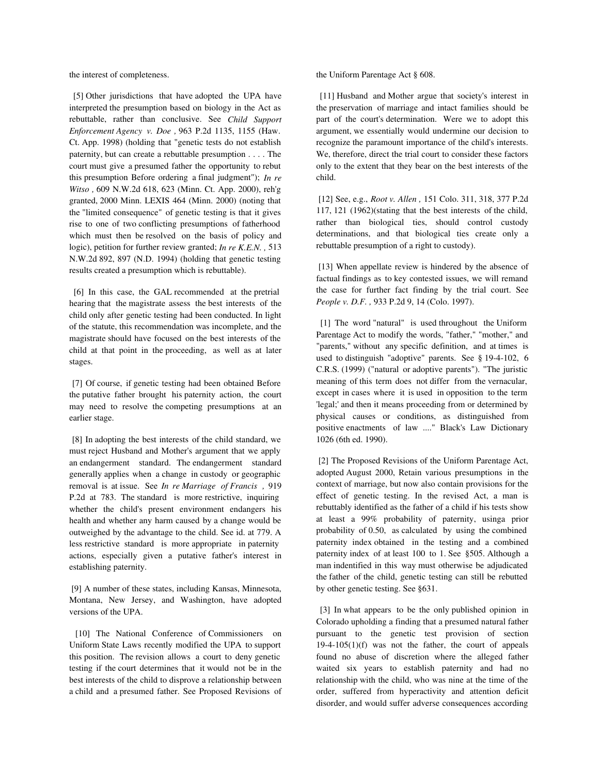the interest of completeness.

[5] Other jurisdictions that have adopted the UPA have interpreted the presumption based on biology in the Act as rebuttable, rather than conclusive. See *Child Support Enforcement Agency v. Doe ,* 963 P.2d 1135, 1155 (Haw. Ct. App. 1998) (holding that "genetic tests do not establish paternity, but can create a rebuttable presumption . . . . The court must give a presumed father the opportunity to rebut this presumption Before ordering a final judgment"); *In re Witso ,* 609 N.W.2d 618, 623 (Minn. Ct. App. 2000), reh'g granted, 2000 Minn. LEXIS 464 (Minn. 2000) (noting that the "limited consequence" of genetic testing is that it gives rise to one of two conflicting presumptions of fatherhood which must then be resolved on the basis of policy and logic), petition for further review granted; *In re K.E.N. ,* 513 N.W.2d 892, 897 (N.D. 1994) (holding that genetic testing results created a presumption which is rebuttable).

 [6] In this case, the GAL recommended at the pretrial hearing that the magistrate assess the best interests of the child only after genetic testing had been conducted. In light of the statute, this recommendation was incomplete, and the magistrate should have focused on the best interests of the child at that point in the proceeding, as well as at later stages.

 [7] Of course, if genetic testing had been obtained Before the putative father brought his paternity action, the court may need to resolve the competing presumptions at an earlier stage.

 [8] In adopting the best interests of the child standard, we must reject Husband and Mother's argument that we apply an endangerment standard. The endangerment standard generally applies when a change in custody or geographic removal is at issue. See *In re Marriage of Francis ,* 919 P.2d at 783. The standard is more restrictive, inquiring whether the child's present environment endangers his health and whether any harm caused by a change would be outweighed by the advantage to the child. See id. at 779. A less restrictive standard is more appropriate in paternity actions, especially given a putative father's interest in establishing paternity.

 [9] A number of these states, including Kansas, Minnesota, Montana, New Jersey, and Washington, have adopted versions of the UPA.

 [10] The National Conference of Commissioners on Uniform State Laws recently modified the UPA to support this position. The revision allows a court to deny genetic testing if the court determines that it would not be in the best interests of the child to disprove a relationship between a child and a presumed father. See Proposed Revisions of the Uniform Parentage Act § 608.

[11] Husband and Mother argue that society's interest in the preservation of marriage and intact families should be part of the court's determination. Were we to adopt this argument, we essentially would undermine our decision to recognize the paramount importance of the child's interests. We, therefore, direct the trial court to consider these factors only to the extent that they bear on the best interests of the child.

 [12] See, e.g., *Root v. Allen ,* 151 Colo. 311, 318, 377 P.2d 117, 121 (1962)(stating that the best interests of the child, rather than biological ties, should control custody determinations, and that biological ties create only a rebuttable presumption of a right to custody).

[13] When appellate review is hindered by the absence of factual findings as to key contested issues, we will remand the case for further fact finding by the trial court. See *People v. D.F. ,* 933 P.2d 9, 14 (Colo. 1997).

 [1] The word "natural" is used throughout the Uniform Parentage Act to modify the words, "father," "mother," and "parents," without any specific definition, and at times is used to distinguish "adoptive" parents. See § 19-4-102, 6 C.R.S. (1999) ("natural or adoptive parents"). "The juristic meaning of this term does not differ from the vernacular, except in cases where it is used in opposition to the term 'legal;' and then it means proceeding from or determined by physical causes or conditions, as distinguished from positive enactments of law ...." Black's Law Dictionary 1026 (6th ed. 1990).

 [2] The Proposed Revisions of the Uniform Parentage Act, adopted August 2000, Retain various presumptions in the context of marriage, but now also contain provisions for the effect of genetic testing. In the revised Act, a man is rebuttably identified as the father of a child if his tests show at least a 99% probability of paternity, usinga prior probability of 0.50, as calculated by using the combined paternity index obtained in the testing and a combined paternity index of at least 100 to 1. See §505. Although a man indentified in this way must otherwise be adjudicated the father of the child, genetic testing can still be rebutted by other genetic testing. See §631.

 [3] In what appears to be the only published opinion in Colorado upholding a finding that a presumed natural father pursuant to the genetic test provision of section  $19-4-105(1)(f)$  was not the father, the court of appeals found no abuse of discretion where the alleged father waited six years to establish paternity and had no relationship with the child, who was nine at the time of the order, suffered from hyperactivity and attention deficit disorder, and would suffer adverse consequences according